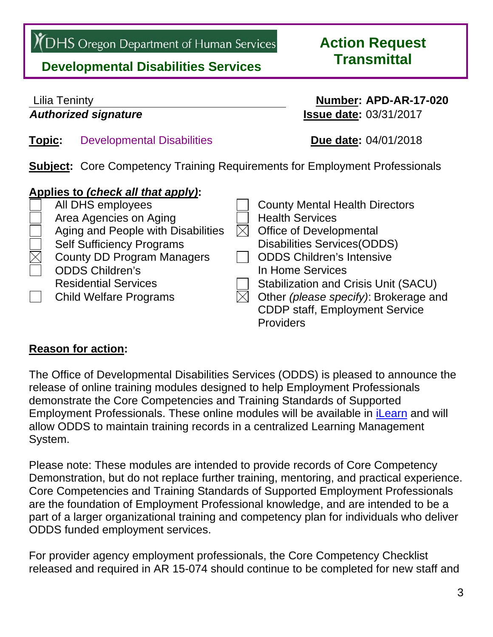YOHS Oregon Department of Human Services

# **Transmittal Developmental Disabilities Services**

# **Action Request**

# Lilia Teninty **Number: APD-AR-17-020**  *Authorized signature* **Issue date:** 03/31/2017 **Topic:** Developmental Disabilities **Due date:** 04/01/2018

**Subject:** Core Competency Training Requirements for Employment Professionals

## **Applies to** *(check all that apply)***:**



### **Reason for action:**

The Office of Developmental Disabilities Services (ODDS) is pleased to announce the release of online training modules designed to help Employment Professionals demonstrate the Core Competencies and Training Standards of Supported Employment Professionals. These online modules will be available in [iLearn](https://ilearn.oregon.gov/Default.aspx) and will allow ODDS to maintain training records in a centralized Learning Management System.

Please note: These modules are intended to provide records of Core Competency Demonstration, but do not replace further training, mentoring, and practical experience. Core Competencies and Training Standards of Supported Employment Professionals are the foundation of Employment Professional knowledge, and are intended to be a part of a larger organizational training and competency plan for individuals who deliver ODDS funded employment services.

For provider agency employment professionals, the Core Competency Checklist released and required in AR 15-074 should continue to be completed for new staff and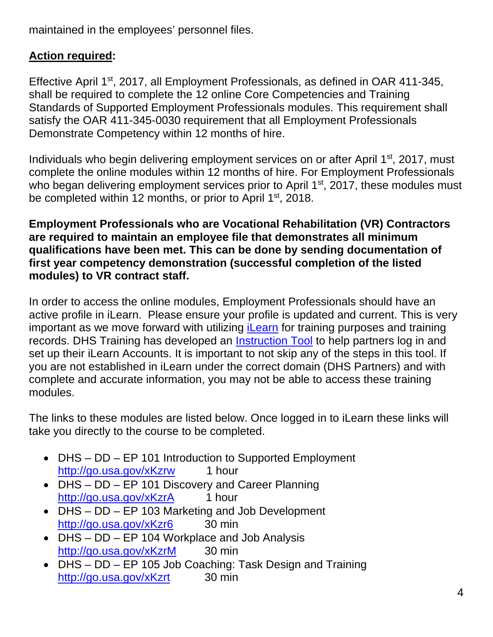maintained in the employees' personnel files.

### **Action required:**

Effective April 1st, 2017, all Employment Professionals, as defined in OAR 411-345, shall be required to complete the 12 online Core Competencies and Training Standards of Supported Employment Professionals modules. This requirement shall satisfy the OAR 411-345-0030 requirement that all Employment Professionals Demonstrate Competency within 12 months of hire.

Individuals who begin delivering employment services on or after April 1<sup>st</sup>, 2017, must complete the online modules within 12 months of hire. For Employment Professionals who began delivering employment services prior to April 1<sup>st</sup>, 2017, these modules must be completed within 12 months, or prior to April 1<sup>st</sup>, 2018.

**Employment Professionals who are Vocational Rehabilitation (VR) Contractors are required to maintain an employee file that demonstrates all minimum qualifications have been met. This can be done by sending documentation of first year competency demonstration (successful completion of the listed modules) to VR contract staff.** 

In order to access the online modules, Employment Professionals should have an active profile in iLearn. Please ensure your profile is updated and current. This is very important as we move forward with utilizing *iLearn* for training purposes and training records. DHS Training has developed an [Instruction Tool t](http://www.oregon.gov/DHS/BUSINESS-SERVICES/iLearnResources/iLearn%20Instructions%20for%20DD%20Partners.pdf)o help partners log in and set up their iLearn Accounts. It is important to not skip any of the steps in this tool. If you are not established in iLearn under the correct domain (DHS Partners) and with complete and accurate information, you may not be able to access these training modules.

The links to these modules are listed below. Once logged in to iLearn these links will take you directly to the course to be completed.

- DHS DD EP 101 Introduction to Supported Employment http://go.usa.gov/xKzrw 1 hour
- DHS DD EP 101 Discovery and Career Planning http://go.usa.gov/xKzrA 1 hour
- DHS DD EP 103 Marketing and Job Development http://go.usa.gov/xKzr6 30 min
- DHS DD EP 104 Workplace and Job Analysis http://go.usa.gov/xKzrM 30 min
- DHS DD EP 105 Job Coaching: Task Design and Training http://go.usa.gov/xKzrt 30 min